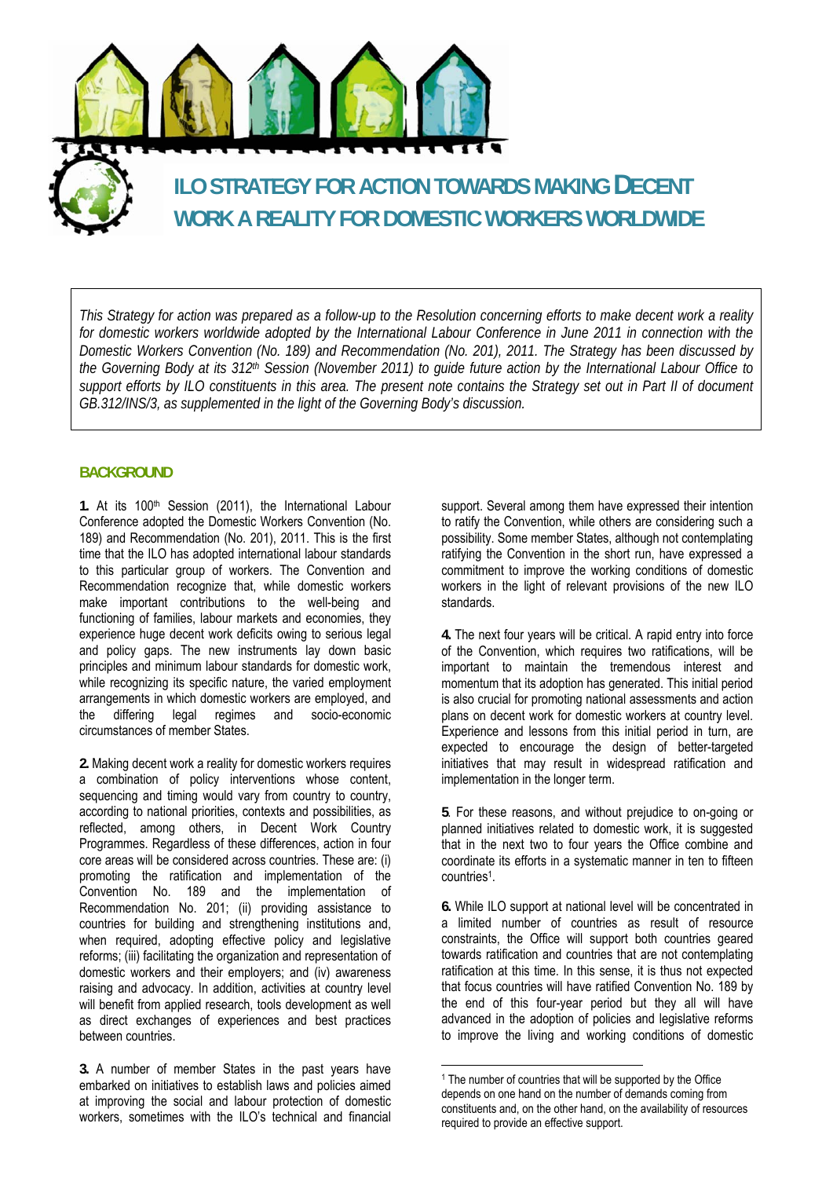

*This Strategy for action was prepared as a follow-up to the Resolution concerning efforts to make decent work a reality for domestic workers worldwide adopted by the International Labour Conference in June 2011 in connection with the Domestic Workers Convention (No. 189) and Recommendation (No. 201), 2011. The Strategy has been discussed by the Governing Body at its 312th Session (November 2011) to guide future action by the International Labour Office to*  support efforts by ILO constituents in this area. The present note contains the Strategy set out in Part II of document *GB.312/INS/3, as supplemented in the light of the Governing Body's discussion.* 

#### **BACKGROUND**

**1.** At its 100th Session (2011), the International Labour Conference adopted the Domestic Workers Convention (No. 189) and Recommendation (No. 201), 2011. This is the first time that the ILO has adopted international labour standards to this particular group of workers. The Convention and Recommendation recognize that, while domestic workers make important contributions to the well-being and functioning of families, labour markets and economies, they experience huge decent work deficits owing to serious legal and policy gaps. The new instruments lay down basic principles and minimum labour standards for domestic work, while recognizing its specific nature, the varied employment arrangements in which domestic workers are employed, and the differing legal regimes and socio-economic circumstances of member States.

**2.** Making decent work a reality for domestic workers requires a combination of policy interventions whose content, sequencing and timing would vary from country to country, according to national priorities, contexts and possibilities, as reflected, among others, in Decent Work Country Programmes. Regardless of these differences, action in four core areas will be considered across countries. These are: (i) promoting the ratification and implementation of the Convention No. 189 and the implementation of Recommendation No. 201; (ii) providing assistance to countries for building and strengthening institutions and, when required, adopting effective policy and legislative reforms; (iii) facilitating the organization and representation of domestic workers and their employers; and (iv) awareness raising and advocacy. In addition, activities at country level will benefit from applied research, tools development as well as direct exchanges of experiences and best practices between countries.

**3.** A number of member States in the past years have embarked on initiatives to establish laws and policies aimed at improving the social and labour protection of domestic workers, sometimes with the ILO's technical and financial

support. Several among them have expressed their intention to ratify the Convention, while others are considering such a possibility. Some member States, although not contemplating ratifying the Convention in the short run, have expressed a commitment to improve the working conditions of domestic workers in the light of relevant provisions of the new ILO standards.

**4.** The next four years will be critical. A rapid entry into force of the Convention, which requires two ratifications, will be important to maintain the tremendous interest and momentum that its adoption has generated. This initial period is also crucial for promoting national assessments and action plans on decent work for domestic workers at country level. Experience and lessons from this initial period in turn, are expected to encourage the design of better-targeted initiatives that may result in widespread ratification and implementation in the longer term.

**5**. For these reasons, and without prejudice to on-going or planned initiatives related to domestic work, it is suggested that in the next two to four years the Office combine and coordinate its efforts in a systematic manner in ten to fifteen countries1.

**6.** While ILO support at national level will be concentrated in a limited number of countries as result of resource constraints, the Office will support both countries geared towards ratification and countries that are not contemplating ratification at this time. In this sense, it is thus not expected that focus countries will have ratified Convention No. 189 by the end of this four-year period but they all will have advanced in the adoption of policies and legislative reforms to improve the living and working conditions of domestic

<sup>&</sup>lt;sup>1</sup> The number of countries that will be supported by the Office depends on one hand on the number of demands coming from constituents and, on the other hand, on the availability of resources required to provide an effective support.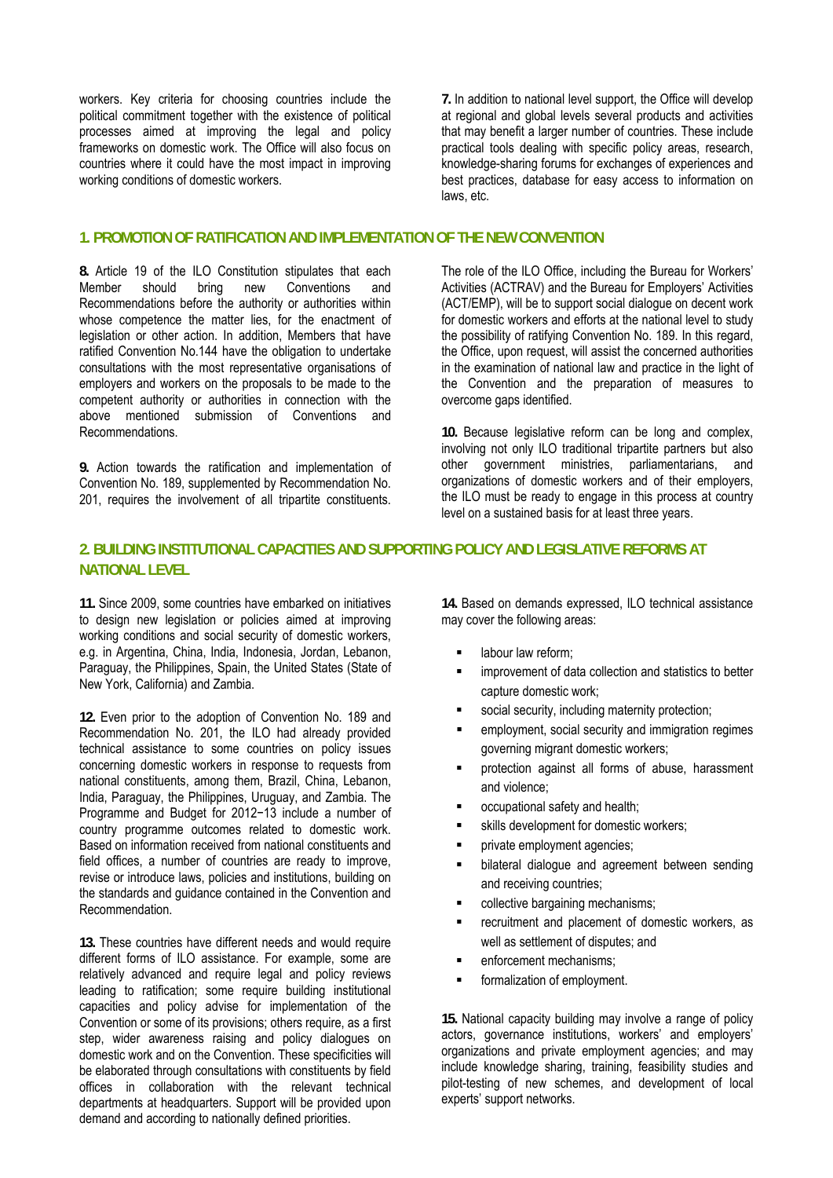workers. Key criteria for choosing countries include the political commitment together with the existence of political processes aimed at improving the legal and policy frameworks on domestic work. The Office will also focus on countries where it could have the most impact in improving working conditions of domestic workers.

**7.** In addition to national level support, the Office will develop at regional and global levels several products and activities that may benefit a larger number of countries. These include practical tools dealing with specific policy areas, research, knowledge-sharing forums for exchanges of experiences and best practices, database for easy access to information on laws, etc.

## **1. PROMOTION OF RATIFICATION AND IMPLEMENTATION OF THE NEW CONVENTION**

**8.** Article 19 of the ILO Constitution stipulates that each Member should bring new Conventions and Recommendations before the authority or authorities within whose competence the matter lies, for the enactment of legislation or other action. In addition, Members that have ratified Convention No.144 have the obligation to undertake consultations with the most representative organisations of employers and workers on the proposals to be made to the competent authority or authorities in connection with the above mentioned submission of Conventions and Recommendations.

**9.** Action towards the ratification and implementation of Convention No. 189, supplemented by Recommendation No. 201, requires the involvement of all tripartite constituents. The role of the ILO Office, including the Bureau for Workers' Activities (ACTRAV) and the Bureau for Employers' Activities (ACT/EMP), will be to support social dialogue on decent work for domestic workers and efforts at the national level to study the possibility of ratifying Convention No. 189. In this regard, the Office, upon request, will assist the concerned authorities in the examination of national law and practice in the light of the Convention and the preparation of measures to overcome gaps identified.

**10.** Because legislative reform can be long and complex, involving not only ILO traditional tripartite partners but also other government ministries, parliamentarians, and organizations of domestic workers and of their employers, the ILO must be ready to engage in this process at country level on a sustained basis for at least three years.

# **2. BUILDING INSTITUTIONAL CAPACITIES AND SUPPORTING POLICY AND LEGISLATIVE REFORMS AT NATIONAL LEVEL**

**11.** Since 2009, some countries have embarked on initiatives to design new legislation or policies aimed at improving working conditions and social security of domestic workers, e.g. in Argentina, China, India, Indonesia, Jordan, Lebanon, Paraguay, the Philippines, Spain, the United States (State of New York, California) and Zambia.

**12.** Even prior to the adoption of Convention No. 189 and Recommendation No. 201, the ILO had already provided technical assistance to some countries on policy issues concerning domestic workers in response to requests from national constituents, among them, Brazil, China, Lebanon, India, Paraguay, the Philippines, Uruguay, and Zambia. The Programme and Budget for 2012−13 include a number of country programme outcomes related to domestic work. Based on information received from national constituents and field offices, a number of countries are ready to improve, revise or introduce laws, policies and institutions, building on the standards and guidance contained in the Convention and Recommendation.

**13.** These countries have different needs and would require different forms of ILO assistance. For example, some are relatively advanced and require legal and policy reviews leading to ratification; some require building institutional capacities and policy advise for implementation of the Convention or some of its provisions; others require, as a first step, wider awareness raising and policy dialogues on domestic work and on the Convention. These specificities will be elaborated through consultations with constituents by field offices in collaboration with the relevant technical departments at headquarters. Support will be provided upon demand and according to nationally defined priorities.

**14.** Based on demands expressed, ILO technical assistance may cover the following areas:

- labour law reform;
- improvement of data collection and statistics to better capture domestic work;
- social security, including maternity protection;
- employment, social security and immigration regimes governing migrant domestic workers;
- protection against all forms of abuse, harassment and violence;
- occupational safety and health;
- skills development for domestic workers;
- private employment agencies;
- bilateral dialogue and agreement between sending and receiving countries;
- collective bargaining mechanisms;
- **EXEC** recruitment and placement of domestic workers, as well as settlement of disputes; and
- enforcement mechanisms;
- formalization of employment.

**15.** National capacity building may involve a range of policy actors, governance institutions, workers' and employers' organizations and private employment agencies; and may include knowledge sharing, training, feasibility studies and pilot-testing of new schemes, and development of local experts' support networks.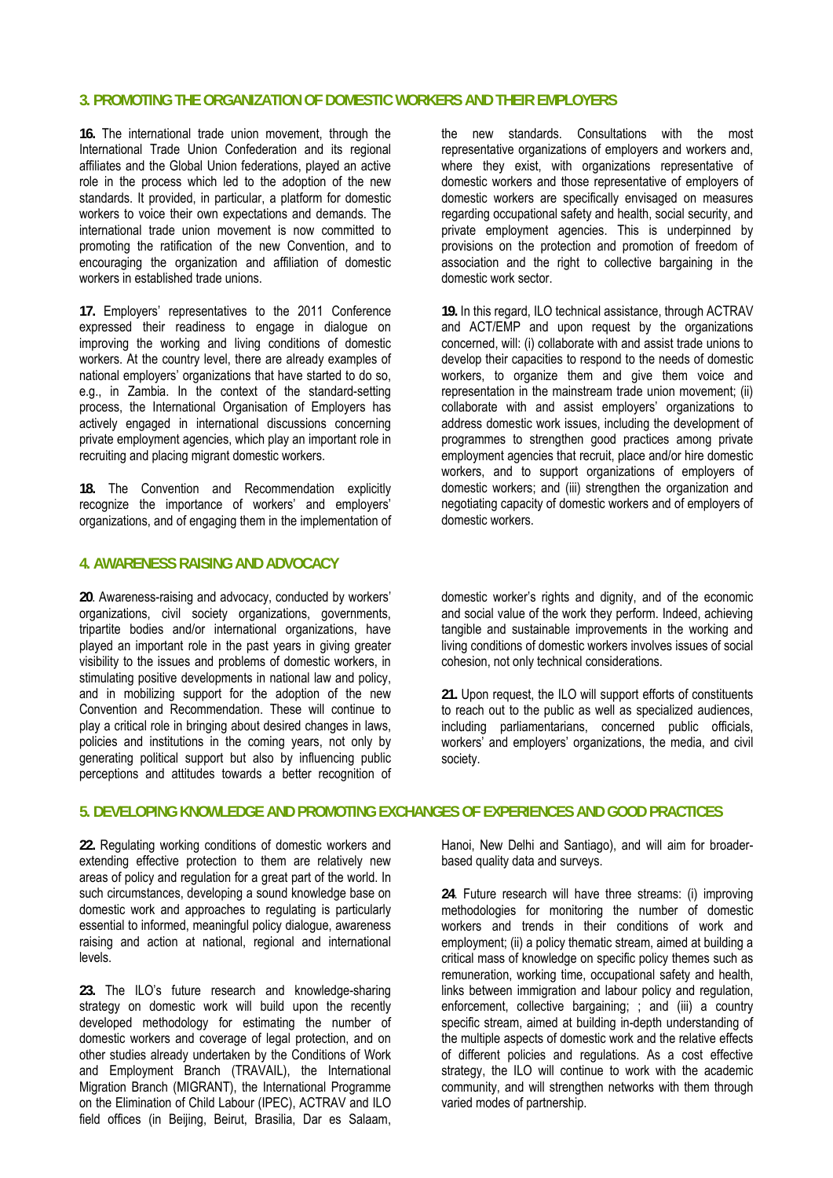#### **3. PROMOTING THE ORGANIZATION OF DOMESTIC WORKERS AND THEIR EMPLOYERS**

**16.** The international trade union movement, through the International Trade Union Confederation and its regional affiliates and the Global Union federations, played an active role in the process which led to the adoption of the new standards. It provided, in particular, a platform for domestic workers to voice their own expectations and demands. The international trade union movement is now committed to promoting the ratification of the new Convention, and to encouraging the organization and affiliation of domestic workers in established trade unions.

**17.** Employers' representatives to the 2011 Conference expressed their readiness to engage in dialogue on improving the working and living conditions of domestic workers. At the country level, there are already examples of national employers' organizations that have started to do so, e.g., in Zambia. In the context of the standard-setting process, the International Organisation of Employers has actively engaged in international discussions concerning private employment agencies, which play an important role in recruiting and placing migrant domestic workers.

**18.** The Convention and Recommendation explicitly recognize the importance of workers' and employers' organizations, and of engaging them in the implementation of

## **4. AWARENESS RAISING AND ADVOCACY**

**20**. Awareness-raising and advocacy, conducted by workers' organizations, civil society organizations, governments, tripartite bodies and/or international organizations, have played an important role in the past years in giving greater visibility to the issues and problems of domestic workers, in stimulating positive developments in national law and policy, and in mobilizing support for the adoption of the new Convention and Recommendation. These will continue to play a critical role in bringing about desired changes in laws, policies and institutions in the coming years, not only by generating political support but also by influencing public perceptions and attitudes towards a better recognition of

the new standards. Consultations with the most representative organizations of employers and workers and, where they exist, with organizations representative of domestic workers and those representative of employers of domestic workers are specifically envisaged on measures regarding occupational safety and health, social security, and private employment agencies. This is underpinned by provisions on the protection and promotion of freedom of association and the right to collective bargaining in the domestic work sector.

**19.** In this regard, ILO technical assistance, through ACTRAV and ACT/EMP and upon request by the organizations concerned, will: (i) collaborate with and assist trade unions to develop their capacities to respond to the needs of domestic workers, to organize them and give them voice and representation in the mainstream trade union movement; (ii) collaborate with and assist employers' organizations to address domestic work issues, including the development of programmes to strengthen good practices among private employment agencies that recruit, place and/or hire domestic workers, and to support organizations of employers of domestic workers; and (iii) strengthen the organization and negotiating capacity of domestic workers and of employers of domestic workers.

domestic worker's rights and dignity, and of the economic and social value of the work they perform. Indeed, achieving tangible and sustainable improvements in the working and living conditions of domestic workers involves issues of social cohesion, not only technical considerations.

**21.** Upon request, the ILO will support efforts of constituents to reach out to the public as well as specialized audiences, including parliamentarians, concerned public officials, workers' and employers' organizations, the media, and civil society.

#### **5. DEVELOPING KNOWLEDGE AND PROMOTING EXCHANGES OF EXPERIENCES AND GOOD PRACTICES**

**22.** Regulating working conditions of domestic workers and extending effective protection to them are relatively new areas of policy and regulation for a great part of the world. In such circumstances, developing a sound knowledge base on domestic work and approaches to regulating is particularly essential to informed, meaningful policy dialogue, awareness raising and action at national, regional and international levels.

**23.** The ILO's future research and knowledge-sharing strategy on domestic work will build upon the recently developed methodology for estimating the number of domestic workers and coverage of legal protection, and on other studies already undertaken by the Conditions of Work and Employment Branch (TRAVAIL), the International Migration Branch (MIGRANT), the International Programme on the Elimination of Child Labour (IPEC), ACTRAV and ILO field offices (in Beijing, Beirut, Brasilia, Dar es Salaam,

Hanoi, New Delhi and Santiago), and will aim for broaderbased quality data and surveys.

**24**. Future research will have three streams: (i) improving methodologies for monitoring the number of domestic workers and trends in their conditions of work and employment; (ii) a policy thematic stream, aimed at building a critical mass of knowledge on specific policy themes such as remuneration, working time, occupational safety and health, links between immigration and labour policy and regulation, enforcement, collective bargaining; ; and (iii) a country specific stream, aimed at building in-depth understanding of the multiple aspects of domestic work and the relative effects of different policies and regulations. As a cost effective strategy, the ILO will continue to work with the academic community, and will strengthen networks with them through varied modes of partnership.